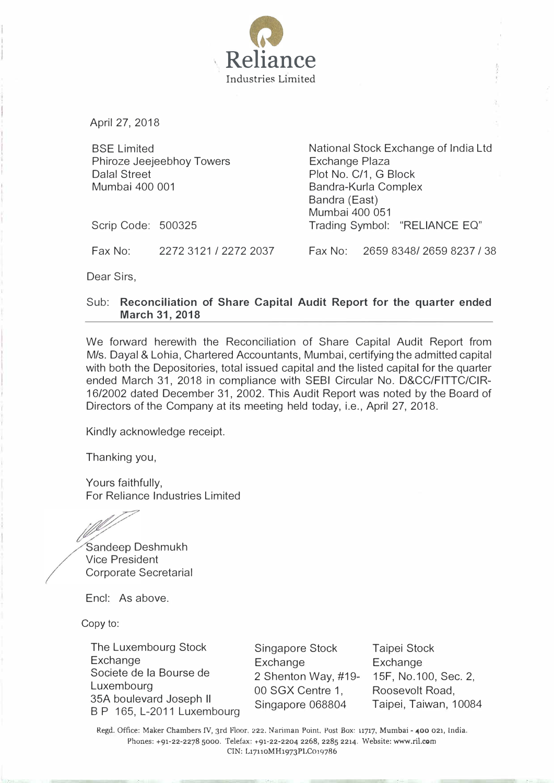

April 27, 2018

BSE Limited Phiroze Jeejeebhoy Towers Dalal Street Mumbai 400 001

National Stock Exchange of India Ltd Exchange Plaza Plot No. C/1, G Block Bandra-Kurla Complex Bandra (East) Mumbai 400 051 Trading Symbol: "RELIANCE EQ"

Scrip Code: 500325

Fax No: 2272 3121 I 2272 2037 Fax No: 2659 83481 2659 8237 I 38

Dear Sirs,

## Sub: Reconciliation of Share Capital Audit Report for the quarter ended March 31, 2018

We forward herewith the Reconciliation of Share Capital Audit Report from M/s. Dayal & Lohia, Chartered Accountants, Mumbai, certifying the admitted capital with both the Depositories, total issued capital and the listed capital for the quarter ended March 31, 2018 in compliance with SEBI Circular No. D&CC/FITTC/CIR-1612002 dated December 31, 2002. This Audit Report was noted by the Board of Directors of the Company at its meeting held today, i.e., April 27, 2018.

Kindly acknowledge receipt.

Thanking you,

Yours faithfully, For Reliance Industries Limited

Sandeep Deshmukh Vice President Corporate Secretarial

Encl: As above.

Copy to:

The Luxembourg Stock **Exchange** Societe de Ia Bourse de Luxembourg 35A boulevard Joseph II B P 165, L-2011 Luxembourg

Singapore Stock Exchange 2 Shenton Way, #19- 00 SGX Centre 1, Singapore 068804

Taipei Stock Exchange 15F, No.100, Sec. 2, Roosevolt Road, Taipei, Taiwan, 10084

Regd. Office: Maker Chambers IV, 3rd Floor. 222. Nariman Point. Post Box: 11717, Mumbai - 400 021, India. Phones: +91-22-2278 5000. Telefax: +91-22-2204 2268, 2285 2214. Website: www.ril.com CIN: L17110MH1973PLC019786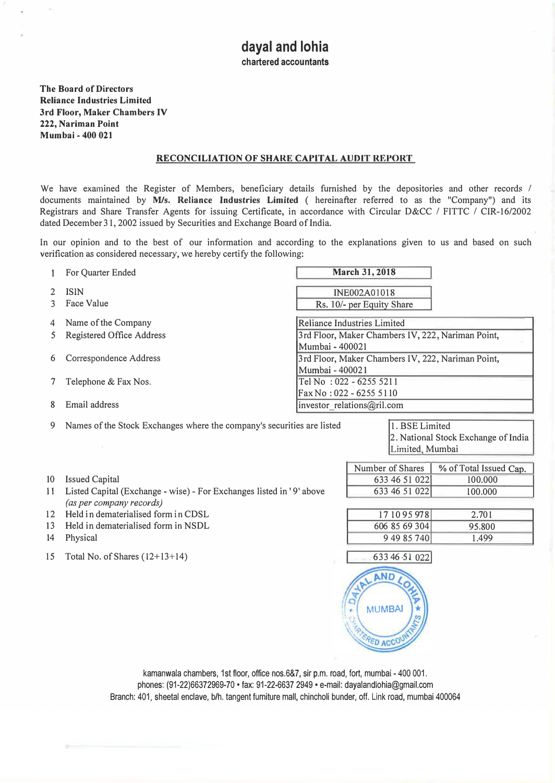The Board of Directors Reliance Industries Limited 3rd Floor, Maker Chambers IV 222, Nariman Point Mumbai- 400 021

## RECONCILIATION OF SHARE CAPITAL AUDIT REPORT

We have examined the Register of Members, beneficiary details furnished by the depositories and other records / documents maintained by M/s. Reliance Industries Limited ( hereinafter referred to as the "Company") and its Registrars and Share Transfer Agents for issuing Certificate, in accordance with Circular D&CC / FITTC / CIR-16/2002 dated December 31, 2002 issued by Securities and Exchange Board of India.

In our opinion and to the best of our information and according to the explanations given to us and based on such verification as considered necessary, we hereby certify the following:

|   | For Quarter Ended         | March 31, 2018                                    |  |  |  |
|---|---------------------------|---------------------------------------------------|--|--|--|
|   | <b>ISIN</b>               | INE002A01018                                      |  |  |  |
|   | Face Value                | Rs. 10/- per Equity Share                         |  |  |  |
| 4 | Name of the Company       | Reliance Industries Limited                       |  |  |  |
|   | Registered Office Address | 3rd Floor, Maker Chambers IV, 222, Nariman Point, |  |  |  |
|   |                           | lMumbai - 400021                                  |  |  |  |
| 6 | Correspondence Address    | 3rd Floor, Maker Chambers IV, 222, Nariman Point, |  |  |  |
|   |                           | lMumbai - 400021                                  |  |  |  |
|   | Telephone & Fax Nos.      | Tel No: 022 - 6255 5211                           |  |  |  |
|   |                           | Fax No: 022 - 6255 5110                           |  |  |  |
| x | Email address             | investor relations@ril.com                        |  |  |  |

9 Names of the Stock Exchanges where the company's securities are listed 1. BSE Limited

2. National Stock Exchange of India Limited, Mumbai

> % of Total Issued Cap. 100.000 100.000

> > 2. 701 95.800 1.499

- 10 Issued Capital
- 11 Listed Capital (Exchange wise)- For Exchanges listed in' 9' above (as per company records)
- 12 Held in dematerialised form in CDSL
- 13 Held in dematerialised form in NSDL
- 14 Physical
- 15 Total No. of Shares (12+13+14)



Number of Shares 633 46 51 022 633 46 51 022

> 17 10 95 978 606 85 69 304 9 49 85 740

kamanwala chambers, 1st floor, office nos.6&7, sir p.m. road, fort, mumbai - 400 001. phones: (91-22)66372969-70 • fax: 91-22-6637 2949 • e-mail: dayalandlohia@gmail.com Branch: 401, sheetal enclave, b/h. tangent furniture mall, chincholi bunder, off. Link road, mumbai 400064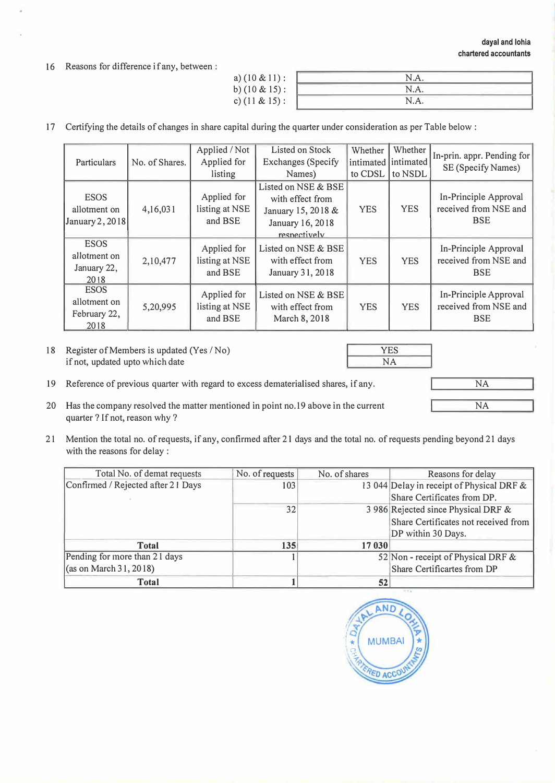16 Reasons for difference if any, between :

| a) $(10 \& 11)$ : | N.A. |  |
|-------------------|------|--|
| b) $(10 \& 15)$ : | N.A. |  |
| c) $(11 & 815)$ : | N.A. |  |
|                   |      |  |

17 Certifying the details of changes in share capital during the quarter under consideration as per Table below :

| Particulars                                         | No. of Shares. | Applied / Not<br>Applied for<br>listing  | Listed on Stock<br><b>Exchanges</b> (Specify<br>Names)                                            | Whether<br>to CDSL | Whether<br>intimated intimated<br>to NSDL | In-prin. appr. Pending for<br>SE (Specify Names)             |
|-----------------------------------------------------|----------------|------------------------------------------|---------------------------------------------------------------------------------------------------|--------------------|-------------------------------------------|--------------------------------------------------------------|
| <b>ESOS</b><br>allotment on<br>January 2, 2018      | 4,16,031       | Applied for<br>listing at NSE<br>and BSE | Listed on NSE & BSE<br>with effect from<br>January 15, 2018 &<br>January 16, 2018<br>respectively | <b>YES</b>         | <b>YES</b>                                | In-Principle Approval<br>received from NSE and<br><b>BSE</b> |
| <b>ESOS</b><br>allotment on<br>January 22,<br>2018  | 2,10,477       | Applied for<br>listing at NSE<br>and BSE | Listed on NSE & BSE<br>with effect from<br>January 31, 2018                                       | <b>YES</b>         | <b>YES</b>                                | In-Principle Approval<br>received from NSE and<br><b>BSE</b> |
| <b>ESOS</b><br>allotment on<br>February 22,<br>2018 | 5,20,995       | Applied for<br>listing at NSE<br>and BSE | Listed on NSE & BSE<br>with effect from<br>March 8, 2018                                          | <b>YES</b>         | <b>YES</b>                                | In-Principle Approval<br>received from NSE and<br><b>BSE</b> |

18 Register of Members is updated (Yes / No) if not, updated upto which date

19 Reference of previous quarter with regard to excess dematerialised shares, if any.

- 20 Has the company resolved the matter mentioned in point no.19 above in the current quarter? If not, reason why?
- 21 Mention the total no. of requests, if any, confirmed after 21 days and the total no. of requests pending beyond 21 days with the reasons for delay :

| Total No. of demat requests        | No. of requests | No. of shares | Reasons for delay                                                                                 |
|------------------------------------|-----------------|---------------|---------------------------------------------------------------------------------------------------|
| Confirmed / Rejected after 21 Days | 103             |               | 13 044 Delay in receipt of Physical DRF &<br>Share Certificates from DP.                          |
|                                    | 32              |               | 3 986 Rejected since Physical DRF &<br>Share Certificates not received from<br>DP within 30 Days. |
| <b>Total</b>                       | 135             | 17 030        |                                                                                                   |
| Pending for more than 21 days      |                 |               | 52 Non - receipt of Physical DRF &                                                                |
| (as on March 31, 2018)             |                 |               | Share Certificartes from DP                                                                       |
| <b>Total</b>                       |                 | 52            |                                                                                                   |



YES NA

NA NA